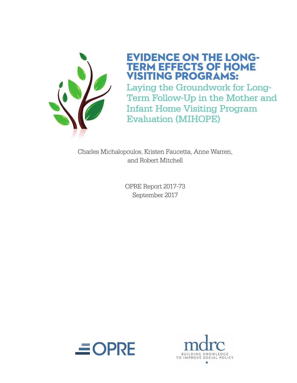

## EVIDENCE ON THE LONG-ERM EFFECTS OF HOME VISITING PROGRAMS:

Laying the Groundwork for Long-Term Follow-Up in the Mother and Infant Home Visiting Program Evaluation (MIHOPE)

Charles Michalopoulos, Kristen Faucetta, Anne Warren, and Robert Mitchell

> OPRE Report 2017-73 September 2017



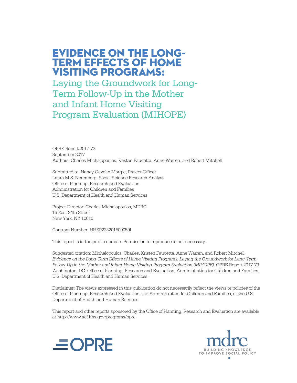EVIDENCE ON THE LONG-TERM EFFECTS OF HOME VISITING PROGRAMS:

Laying the Groundwork for Long-Term Follow-Up in the Mother and Infant Home Visiting Program Evaluation (MIHOPE)

OPRE Report 2017-73 September 2017 Authors: Charles Michalopoulos, Kristen Faucetta, Anne Warren, and Robert Mitchell

Submitted to: Nancy Geyelin Margie, Project Officer Laura M.S. Nerenberg, Social Science Research Analyst Office of Planning, Research and Evaluation Administration for Children and Families U.S. Department of Health and Human Services

Project Director: Charles Michalopoulos, MDRC 16 East 34th Street New York, NY 10016

Contract Number: HHSP233201500059I

This report is in the public domain. Permission to reproduce is not necessary.

Suggested citation: Michalopoulos, Charles, Kristen Faucetta, Anne Warren, and Robert Mitchell. *Evidence on the Long-Term Effects of Home Visiting Programs: Laying the Groundwork for Long-Term Follow-Up in the Mother and Infant Home Visiting Program Evaluation (MIHOPE).* OPRE Report 2017-73. Washington, DC: Office of Planning, Research and Evaluation, Administration for Children and Families, U.S. Department of Health and Human Services.

Disclaimer: The views expressed in this publication do not necessarily reflect the views or policies of the Office of Planning, Research and Evaluation, the Administration for Children and Families, or the U.S. Department of Health and Human Services.

This report and other reports sponsored by the Office of Planning, Research and Evaluation are available at http://www.acf.hhs.gov/programs/opre.



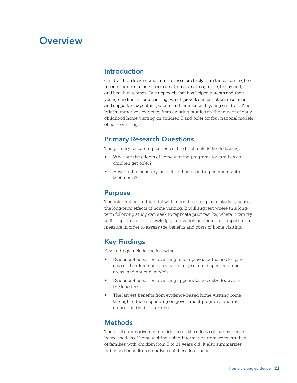## **Overview**

#### Introduction

Children from low-income families are more likely than those from higherincome families to have poor social, emotional, cognitive, behavioral, and health outcomes. One approach that has helped parents and their young children is home visiting, which provides information, resources, and support to expectant parents and families with young children. This brief summarizes evidence from existing studies on the impact of early childhood home visiting on children 5 and older for four national models of home visiting.

### Primary Research Questions

The primary research questions of the brief include the following:

- What are the effects of home visiting programs for families as children get older?
- How do the monetary benefits of home visiting compare with their costs?

#### Purpose

The information in this brief will inform the design of a study to assess the long-term effects of home visiting. It will suggest where this longterm follow-up study can seek to replicate prior results, where it can try to fill gaps in current knowledge, and which outcomes are important to measure in order to assess the benefits and costs of home visiting.

### Key Findings

Key findings include the following:

- Evidence-based home visiting has improved outcomes for parents and children across a wide range of child ages, outcome areas, and national models.
- Evidence-based home visiting appears to be cost-effective in the long term.
- The largest benefits from evidence-based home visiting come through reduced spending on government programs and increased individual earnings.

#### **Methods**

The brief summarizes prior evidence on the effects of four evidencebased models of home visiting using information from seven studies of families with children from 5 to 21 years old. It also summarizes published benefit-cost analyses of these four models.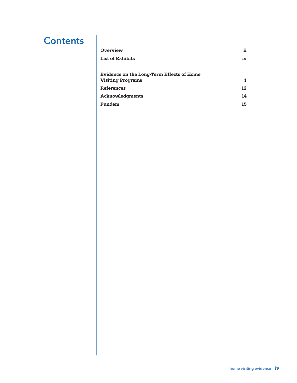## **Contents**

| Overview                                  | ii. |
|-------------------------------------------|-----|
| <b>List of Exhibits</b>                   | iv  |
| Evidence on the Long-Term Effects of Home |     |
| <b>Visiting Programs</b>                  |     |
| References                                | 12  |
| Acknowledgments                           | 14  |
| <b>Funders</b>                            | 15  |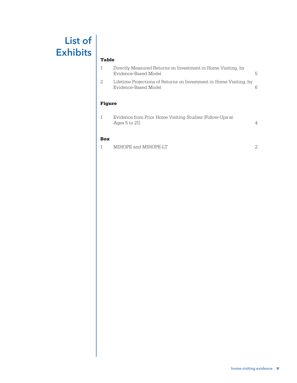# List of **Exhibits**

#### Table

| <b>Figure</b> | Evidence-Based Model                                                                 |   |
|---------------|--------------------------------------------------------------------------------------|---|
|               | Lifetime Projections of Returns on Investment in Home Visiting, by                   |   |
|               | Directly Measured Returns on Investment in Home Visiting, by<br>Evidence-Based Model | 5 |

| Evidence from Prior Home Visiting Studies (Follow-Ups at |  |
|----------------------------------------------------------|--|
| Ages $5$ to $21$ )                                       |  |

#### Box

| MIHOPE and MIHOPE-LT<br><b></b> |  |
|---------------------------------|--|
|---------------------------------|--|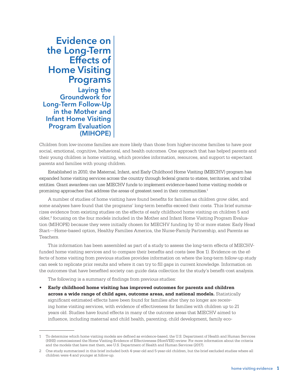### Evidence on the Long-Term Effects of Home Visiting Programs Laying the Groundwork for Long-Term Follow-Up in the Mother and Infant Home Visiting Program Evaluation (MIHOPE)

Children from low-income families are more likely than those from higher-income families to have poor social, emotional, cognitive, behavioral, and health outcomes. One approach that has helped parents and their young children is home visiting, which provides information, resources, and support to expectant parents and families with young children.

Established in 2010, the Maternal, Infant, and Early Childhood Home Visiting (MIECHV) program has expanded home visiting services across the country through federal grants to states, territories, and tribal entities. Grant awardees can use MIECHV funds to implement evidence-based home visiting models or promising approaches that address the areas of greatest need in their communities.<sup>1</sup>

A number of studies of home visiting have found benefits for families as children grow older, and some analyses have found that the programs' long-term benefits exceed their costs. This brief summarizes evidence from existing studies on the effects of early childhood home visiting on children 5 and older,<sup>2</sup> focusing on the four models included in the Mother and Infant Home Visiting Program Evaluation (MIHOPE) because they were initially chosen for MIECHV funding by 10 or more states: Early Head Start—Home-based option, Healthy Families America, the Nurse-Family Partnership, and Parents as Teachers.

This information has been assembled as part of a study to assess the long-term effects of MIECHVfunded home visiting services and to compare their benefits and costs (see Box 1). Evidence on the effects of home visiting from previous studies provides information on where the long-term follow-up study can seek to replicate prior results and where it can try to fill gaps in current knowledge. Information on the outcomes that have benefited society can guide data collection for the study's benefit-cost analysis.

The following is a summary of findings from previous studies:

**• Early childhood home visiting has improved outcomes for parents and children across a wide range of child ages, outcome areas, and national models.** Statistically significant estimated effects have been found for families after they no longer are receiving home visiting services, with evidence of effectiveness for families with children up to 21 years old. Studies have found effects in many of the outcome areas that MIECHV aimed to influence, including maternal and child health, parenting, child development, family eco-

<sup>1</sup> To determine which home visiting models are defined as evidence-based, the U.S. Department of Health and Human Services (HHS) commissioned the Home Visiting Evidence of Effectiveness (HomVEE) review. For more information about the criteria and the models that have met them, see U.S. Department of Health and Human Services (2017).

<sup>2</sup> One study summarized in this brief included both 4-year-old and 5-year-old children, but the brief excluded studies where all children were 4 and younger at follow-up.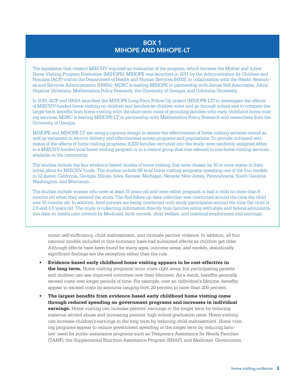#### BOX 1 MIHOPE AND MIHOPE-LT

The legislation that created MIECHV required an evaluation of the program, which became the Mother and Infant Home Visiting Program Evaluation (MIHOPE). MIHOPE was launched in 2011 by the Administration for Children and Families (ACF) within the Department of Health and Human Services (HHS), in collaboration with the Health Resources and Services Administration (HRSA). MDRC is leading MIHOPE in partnership with James Bell Associates, Johns Hopkins University, Mathematica Policy Research, the University of Georgia, and Columbia University.

In 2016, ACF and HRSA launched the MIHOPE Long-Term Follow-Up project (MIHOPE-LT) to investigate the effects of MIECHV-funded home visiting on children and families as children enter and go through school and to compare the longer-term benefits from home visiting with the short-term costs of providing families with early childhood home visiting services. MDRC is leading MIHOPE-LT in partnership with Mathematica Policy Research and researchers from the University of Georgia.

MIHOPE and MIHOPE-LT are using a rigorous design to assess the effectiveness of home visiting services overall as well as variations in service delivery and effectiveness across programs and populations. To provide unbiased estimates of the effects of home visiting programs, 4,229 families recruited into the study were randomly assigned either to a MIECHV-funded local home visiting program or to a control group that was referred to non-home visiting services available in the community.

The studies include the four evidence-based models of home visiting that were chosen by 10 or more states in their initial plans for MIECHV funds. The studies include 88 local home visiting programs operating one of the four models in 12 states: California, Georgia, Illinois, Iowa, Kansas, Michigan, Nevada, New Jersey, Pennsylvania, South Carolina, Washington, and Wisconsin.

The studies include women who were at least 15 years old and were either pregnant or had a child no more than 6 months old when they entered the study. The first follow-up data collection was conducted around the time the child was 15 months old. In addition, brief surveys are being conducted with study participants around the time the child is 2.5 and 3.5 years old. The study is collecting information directly from families along with state and federal administrative data on health care covered by Medicaid, birth records, child welfare, and maternal employment and earnings.

nomic self-sufficiency, child maltreatment, and intimate partner violence. In addition, all four national models included in this summary have had sustained effects as children get older. Although effects have been found for many ages, outcome areas, and models, statistically significant findings are the exception rather than the rule.

- **• Evidence-based early childhood home visiting appears to be cost-effective in the long term.** Home visiting programs incur costs right away, but participating parents and children can see improved outcomes over their lifetimes. As a result, benefits generally exceed costs over longer periods of time. For example, over an individual's lifetime, benefits appear to exceed costs by amounts ranging from 20 percent to more than 200 percent.
- **• The largest benefits from evidence-based early childhood home visiting come through reduced spending on government programs and increases in individual earnings.** Home visiting can increase parents' earnings in the longer term by reducing maternal alcohol abuse and increasing parents' high school graduation rates. Home visiting can increase children's earnings in the long term by reducing child maltreatment. Home visiting programs appear to reduce government spending in the longer term by reducing families' need for public assistance programs such as Temporary Assistance for Needy Families (TANF), the Supplemental Nutrition Assistance Program (SNAP), and Medicaid. Government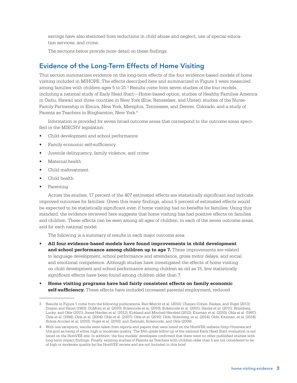savings have also stemmed from reductions in child abuse and neglect, use of special education services, and crime.

The sections below provide more detail on these findings.

### Evidence of the Long-Term Effects of Home Visiting

This section summarizes evidence on the long-term effects of the four evidence-based models of home visiting included in MIHOPE. The effects described here and summarized in Figure 1 were measured among families with children ages  $5$  to  $21.3$  Results come from seven studies of the four models, including a national study of Early Head Start—Home-based option; studies of Healthy Families America in Oahu, Hawaii and three counties in New York (Erie, Rensselaer, and Ulster); studies of the Nurse-Family Partnership in Elmira, New York, Memphis, Tennessee, and Denver, Colorado; and a study of Parents as Teachers in Binghamton, New York.<sup>4</sup>

Information is provided for seven broad outcome areas that correspond to the outcome areas specified in the MIECHV legislation:

- Child development and school performance
- Family economic self-sufficiency
- Juvenile delinquency, family violence, and crime
- Maternal health
- Child maltreatment
- Child health
- Parenting

Across the studies, 17 percent of the 407 estimated effects are statistically significant and indicate improved outcomes for families. Given this many findings, about 5 percent of estimated effects would be expected to be statistically significant even if home visiting had no benefits for families. Using this standard, the evidence reviewed here suggests that home visiting has had positive effects on families and children. These effects can be seen among all ages of children, in each of the seven outcome areas, and for each national model.

The following is a summary of results in each major outcome area:

- **• All four evidence-based models have found improvements in child development and school performance among children up to age 7.** These improvements are related to language development, school performance and attendance, gross motor delays, and social and emotional competence. Although studies have investigated the effects of home visiting on child development and school performance among children as old as 15, few statistically significant effects have been found among children older than 7.
- **• Home visiting programs have had fairly consistent effects on family economic self-sufficiency.** These effects have included increased parental employment, reduced

<sup>3</sup> Results in Figure 1 come from the following publications: Bair-Merritt et al. (2010); Chazan‐Cohen, Raikes, and Vogel (2013); Drazen and Haust (1993); DuMont et al. (2010); Eckenrode et al. (2010); Eckenrode et al. (2001); Hanks et al. (2011); Holmberg, Lucky, and Olds (2011); Jones-Harden et al. (2012); Kirkland and Mitchell-Herzfeld (2012); Kitzman et al. (2010); Olds et al. (1997); Olds et al. (1998); Olds et al. (2004); Olds et al. (2007); Olds et al. (2010); Olds, Holmberg, et al. (2014); Olds, Kitzman, et al. (2014); Sidora-Arcoleo et al. (2010); Vogel et al. (2010); and Zielinski, Eckenrode, and Olds (2009).

<sup>4</sup> With one exception, results were taken from reports and papers that were listed on the HomVEE website (http://homvee.acf. hhs.gov) as being of either high or moderate quality. The fifth-grade follow-up of the national Early Head Start evaluation is not listed on the HomVEE site. In addition, the four models' developers confirmed that there were no other published studies with long-term impact findings. Finally, existing studies of Parents as Teachers with children older than 5 are not considered to be of high or moderate quality by the HomVEE review and are not included in this brief.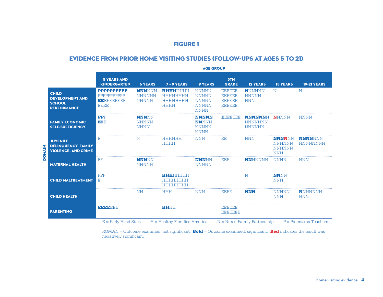### FIGURE 1

#### EVIDENCE FROM PRIOR HOME VISITING STUDIES (FOLLOW-UPS AT AGES 5 TO 21)

|                                                                               | <b>AGE GROUP</b>                          |                                                |                                                                   |                                                                             |                                                                              |                                                   |                                                               |                                   |
|-------------------------------------------------------------------------------|-------------------------------------------|------------------------------------------------|-------------------------------------------------------------------|-----------------------------------------------------------------------------|------------------------------------------------------------------------------|---------------------------------------------------|---------------------------------------------------------------|-----------------------------------|
|                                                                               | <b>5 YEARS AND</b><br><b>KINDERGARTEN</b> | <b>6 YEARS</b>                                 | $7 - 9$ YEARS                                                     | <b>9 YEARS</b>                                                              | 5TH<br><b>GRADE</b>                                                          | <b>12 YEARS</b>                                   | <b>15 YEARS</b>                                               | <b>19-21 YEARS</b>                |
| <b>CHILD</b><br><b>DEVELOPMENT AND</b><br><b>SCHOOL</b><br><b>PERFORMANCE</b> | PPPPPPPPPPP<br>EEEEEEEEEE<br>EEEE         | <b>NNNNNN</b><br><b>NNNNNN</b><br><b>NNNNN</b> | E E E E E E E E E E E E<br>HEIEIEIEIEIEI<br>HEIEIEIEIEIEI<br>HHHH | <b>NNNNN</b><br><b>NNNNN</b><br><b>NNNNN</b><br><b>NNNNN</b><br><b>NNNN</b> | <b>BBBBBB</b><br><b>BIBIBIBIBI</b><br><b>BIBIBIBIBI</b><br><b>BIBIBIBIBI</b> | <b>NNNNNN</b><br><b>NNNNN</b><br><b>NNN</b>       | $\mathbf N$                                                   | $_{\rm N}$                        |
| <b>FAMILY ECONOMIC</b><br><b>SELF-SUFFICIENCY</b>                             | <b>PPP</b><br>EEE                         | <b>NNNNN</b><br><b>NNNNN</b><br><b>NNNN</b>    |                                                                   | <b>NNNNN</b><br><b>NNNNN</b><br><b>NNNNN</b><br><b>NNNN</b>                 | р разначана                                                                  | <b>NNNNNNN</b><br><b>NNNNNNN</b><br><b>NNNNNN</b> | <b>NNNNN</b>                                                  | <b>NNNN</b>                       |
| <b>JUVENILE</b><br><b>DELINQUENCY, FAMILY</b><br><b>VIOLENCE, AND CRIME</b>   | E                                         | N                                              | <b>HEIEIEIEIEI</b><br>HHHH                                        | <b>NNN</b>                                                                  | EE                                                                           | <b>NNN</b>                                        | <b>NNNNNN</b><br><b>NNNNNN</b><br><b>NNNNNN</b><br><b>NNN</b> | <b>NNNNNNN</b><br><b>NNNNNNNN</b> |
| <b>MATERNAL HEALTH</b>                                                        | EE                                        | <b>NNNNN</b><br><b>NNNNN</b>                   |                                                                   | <b>NNNNN</b><br><b>NNNNN</b>                                                | EEE                                                                          | <b>NNNNNNN</b>                                    | <b>NNNN</b>                                                   | <b>NNN</b>                        |
| <b>CHILD MALTREATMENT</b>                                                     | <b>PPP</b><br>F.                          |                                                | HHHHHHH<br><b>HEIEIEIEIEIEIE</b><br>HHHHHHH                       |                                                                             |                                                                              | N                                                 | <b>NNNN</b><br><b>NNN</b>                                     |                                   |
| <b>CHILD HEALTH</b>                                                           |                                           | <b>NN</b>                                      | <b>HHH</b>                                                        | <b>NNN</b>                                                                  | <b>BBBB</b>                                                                  | <b>NNN</b>                                        | <b>NNNNN</b><br><b>NNN</b>                                    | <b>NNNNNNNN</b><br><b>NNN</b>     |
| <b>PARENTING</b>                                                              | ) 이 이 이 어깨대다                              |                                                | 原始時間                                                              |                                                                             | <b>BBBBBB</b><br><b>BIBIBIBIBIBI</b>                                         |                                                   |                                                               |                                   |

 $ROMAN = Outcome examined, not significant. **Bold** = Outcome examined, significant. **Red** indicates the result was$ negatively significant.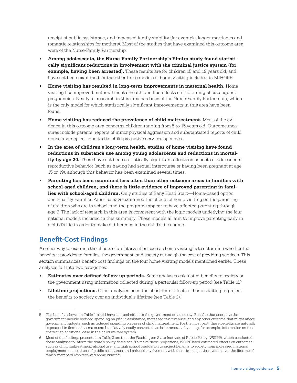receipt of public assistance, and increased family stability (for example, longer marriages and romantic relationships for mothers). Most of the studies that have examined this outcome area were of the Nurse-Family Partnership.

- **• Among adolescents, the Nurse-Family Partnership's Elmira study found statistically significant reductions in involvement with the criminal justice system (for example, having been arrested).** These results are for children 15 and 19 years old, and have not been examined for the other three models of home visiting included in MIHOPE.
- **• Home visiting has resulted in long-term improvements in maternal health.** Home visiting has improved maternal mental health and had effects on the timing of subsequent pregnancies. Nearly all research in this area has been of the Nurse-Family Partnership, which is the only model for which statistically significant improvements in this area have been found.
- **• Home visiting has reduced the prevalence of child maltreatment.** Most of the evidence in this outcome area concerns children ranging from 5 to 15 years old. Outcome measures include parents' reports of minor physical aggression and substantiated reports of child abuse and neglect reported to child protective services agencies.
- **• In the area of children's long-term health, studies of home visiting have found reductions in substance use among young adolescents and reductions in mortality by age 20.** There have not been statistically significant effects on aspects of adolescents' reproductive behavior (such as having had sexual intercourse or having been pregnant at age 15 or 19), although this behavior has been examined several times.
- **• Parenting has been examined less often than other outcome areas in families with school-aged children, and there is little evidence of improved parenting in families with school-aged children.** Only studies of Early Head Start—Home-based option and Healthy Families America have examined the effects of home visiting on the parenting of children who are in school, and the programs appear to have affected parenting through age 7. The lack of research in this area is consistent with the logic models underlying the four national models included in this summary. These models all aim to improve parenting early in a child's life in order to make a difference in the child's life course.

### Benefit-Cost Findings

Another way to examine the effects of an intervention such as home visiting is to determine whether the benefits it provides to families, the government, and society outweigh the cost of providing services. This section summarizes benefit-cost findings on the four home visiting models mentioned earlier. These analyses fall into two categories:

- **• Estimates over defined follow-up periods.** Some analyses calculated benefits to society or the government using information collected during a particular follow-up period (see Table 1).<sup>5</sup>
- **• Lifetime projections.** Other analyses used the short-term effects of home visiting to project the benefits to society over an individual's lifetime (see Table 2).6

<sup>5</sup> The benefits shown in Table 1 could have accrued either to the government or to society. Benefits that accrue to the government include reduced spending on public assistance, increased tax revenues, and any other outcome that might affect government budgets, such as reduced spending on cases of child maltreatment. For the most part, these benefits are naturally expressed in financial terms or can be relatively easily converted to dollar amounts by using, for example, information on the costs of an additional case in the child welfare system.

<sup>6</sup> Most of the findings presented in Table 2 are from the Washington State Institute of Public Policy (WSIPP), which conducted these analyses to inform the state's policy decisions. To make these projections, WSIPP used estimated effects on outcomes such as child maltreatment, alcohol use, and high school graduation to project benefits to society from increased maternal employment, reduced use of public assistance, and reduced involvement with the criminal justice system over the lifetime of family members who received home visiting.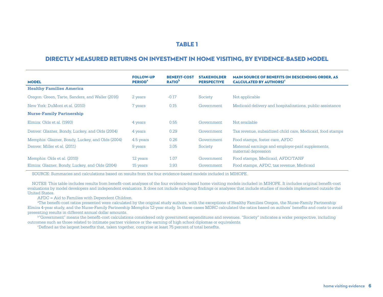#### TABLE 1

#### DIRECTLY MEASURED RETURNS ON INVESTMENT IN HOME VISITING, BY EVIDENCE-BASED MODEL

| <b>MODEL</b>                                     | <b>FOLLOW-UP</b><br><b>PERIOD<sup>a</sup></b> | <b>BENEFIT-COST</b><br><b>RATIO</b> <sup>P</sup> | <b>STAKEHOLDER</b><br><b>PERSPECTIVE</b> | <b>MAIN SOURCE OF BENEFITS (IN DESCENDING ORDER. AS)</b><br><b>CALCULATED BY AUTHORS)<sup>c</sup></b> |
|--------------------------------------------------|-----------------------------------------------|--------------------------------------------------|------------------------------------------|-------------------------------------------------------------------------------------------------------|
| <b>Healthy Families America</b>                  |                                               |                                                  |                                          |                                                                                                       |
| Oregon: Green, Tarte, Sanders, and Waller (2016) | 2 years                                       | $-0.17$                                          | Society                                  | Not applicable                                                                                        |
| New York: DuMont et al. (2010)                   | 7 years                                       | 0.15                                             | Government                               | Medicaid delivery and hospitalizations, public assistance                                             |
| <b>Nurse-Family Partnership</b>                  |                                               |                                                  |                                          |                                                                                                       |
| Elmira: Olds et al. (1993)                       | 4 years                                       | 0.55                                             | Government                               | Not available                                                                                         |
| Denver: Glazner, Bondy, Luckey, and Olds (2004)  | 4 years                                       | 0.29                                             | Government                               | Tax revenue, subsidized child care, Medicaid, food stamps                                             |
| Memphis: Glazner, Bondy, Luckey, and Olds (2004) | 4.5 years                                     | 0.26                                             | Government                               | Food stamps, foster care, AFDC                                                                        |
| Denver: Miller et al. (2011)                     | 9 years                                       | 3.05                                             | Society                                  | Maternal earnings and employer-paid supplements.<br>maternal depression                               |
| Memphis: Olds et al. (2010)                      | 12 years                                      | 1.07                                             | Government                               | Food stamps, Medicaid, AFDC/TANF                                                                      |
| Elmira: Glazner, Bondy, Luckey, and Olds (2004)  | 15 years                                      | 3.93                                             | Government                               | Food stamps, AFDC, tax revenue, Medicaid                                                              |

SOURCE: Summaries and calculations based on results from the four evidence-based models included in MIHOPE.

NOTES: This table includes results from benefit-cost analyses of the four evidence-based home visiting models included in MIHOPE. It includes original benefit-cost evaluations by model developers and independent evaluators. It does not include subgroup findings or analyses that include studies of models implemented outside the United States.

AFDC = Aid to Families with Dependent Children.

<sup>a</sup>The benefit-cost ratios presented were calculated by the original study authors, with the exceptions of Healthy Families Oregon, the Nurse-Family Partnership Elmira 4-year study, and the Nurse-Family Partnership Memphis 12-year study. In these cases MDRC calculated the ratios based on authors' benefits and costs to avoid presenting results in different annual dollar amounts.

b"Government" means the benefit-cost calculations considered only government expenditures and revenues. "Society" indicates a wider perspective, including outcomes such as those related to intimate partner violence or the earning of high school diplomas or equivalents.

cDefined as the largest benefits that, taken together, comprise at least 75 percent of total benefits.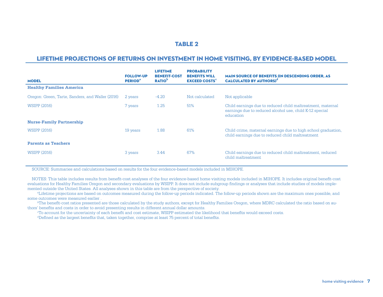#### TABLE 2

#### LIFETIME PROJECTIONS OF RETURNS ON INVESTMENT IN HOME VISITING, BY EVIDENCE-BASED MODEL

| <b>MODEL</b>                                     | <b>FOLLOW-UP</b><br><b>PERIOD</b> <sup>ª</sup> | <b>LIFETIME</b><br><b>BENEFIT-COST</b><br><b>RATIO</b> <sup>P</sup> | <b>PROBABILITY</b><br><b>BENEFITS WILL</b><br><b>EXCEED COSTS<sup>c</sup></b> | <b>MAIN SOURCE OF BENEFITS (IN DESCENDING ORDER, AS</b><br><b>CALCULATED BY AUTHORS)<sup>d</sup></b>                               |
|--------------------------------------------------|------------------------------------------------|---------------------------------------------------------------------|-------------------------------------------------------------------------------|------------------------------------------------------------------------------------------------------------------------------------|
| <b>Healthy Families America</b>                  |                                                |                                                                     |                                                                               |                                                                                                                                    |
| Oregon: Green, Tarte, Sanders, and Waller (2016) | 2 years                                        | $-4.20$                                                             | Not calculated                                                                | Not applicable                                                                                                                     |
| <b>WSIPP (2016)</b>                              | 7 years                                        | 1.25                                                                | 51%                                                                           | Child earnings due to reduced child maltreatment, maternal<br>earnings due to reduced alcohol use, child K-12 special<br>education |
| <b>Nurse-Family Partnership</b>                  |                                                |                                                                     |                                                                               |                                                                                                                                    |
| <b>WSIPP (2016)</b>                              | 19 years                                       | 1.88                                                                | 61%                                                                           | Child crime, maternal earnings due to high school graduation,<br>child earnings due to reduced child maltreatment                  |
| <b>Parents as Teachers</b>                       |                                                |                                                                     |                                                                               |                                                                                                                                    |
| <b>WSIPP (2016)</b>                              | 3 years                                        | 3.44                                                                | 67%                                                                           | Child earnings due to reduced child maltreatment, reduced<br>child maltreatment                                                    |

SOURCE: Summaries and calculations based on results for the four evidence-based models included in MIHOPE.

NOTES: This table includes results from benefit-cost analyses of the four evidence-based home visiting models included in MIHOPE. It includes original benefit-cost evaluations for Healthy Families Oregon and secondary evaluations by WSIPP. It does not include subgroup findings or analyses that include studies of models implemented outside the United States. All analyses shown in this table are from the perspective of society.

<sup>a</sup>Lifetime projections are based on outcomes measured during the follow-up periods indicated. The follow-up periods shown are the maximum ones possible, and some outcomes were measured earlier .

<sup>b</sup>The benefit-cost ratios presented are those calculated by the study authors, except for Healthy Families Oregon, where MDRC calculated the ratio based on authors' benefits and costs in order to avoid presenting results in different annual dollar amounts.

cTo account for the uncertainty of each benefit and cost estimate, WSIPP estimated the likelihood that benefits would exceed costs. dDefined as the largest benefits that, taken together, comprise at least 75 percent of total benefits.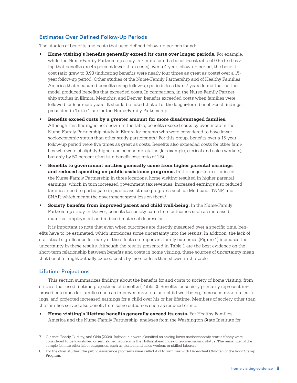#### Estimates Over Defined Follow-Up Periods

The studies of benefits and costs that used defined follow-up periods found:

- **• Home visiting's benefits generally exceed its costs over longer periods.** For example, while the Nurse-Family Partnership study in Elmira found a benefit-cost ratio of 0.55 (indicating that benefits are 45 percent lower than costs) over a 4-year follow-up period, the benefitcost ratio grew to 3.93 (indicating benefits were nearly four times as great as costs) over a 15 year follow-up period. Other studies of the Nurse-Family Partnership and of Healthy Families America that measured benefits using follow-up periods less than 7 years found that neither model produced benefits that exceeded costs. In comparison, in the Nurse-Family Partnership studies in Elmira, Memphis, and Denver, benefits exceeded costs when families were followed for 9 or more years. It should be noted that all of the longer-term benefit-cost findings presented in Table 1 are for the Nurse-Family Partnership.
- **• Benefits exceed costs by a greater amount for more disadvantaged families.** Although this finding is not shown in the table, benefits exceed costs by even more in the Nurse-Family Partnership study in Elmira for parents who were considered to have lower socioeconomic status than other study participants.7 For this group, benefits over a 15-year follow-up period were five times as great as costs. Benefits also exceeded costs for other families who were of slightly higher socioeconomic status (for example, clerical and sales workers), but only by 50 percent (that is, a benefit-cost ratio of 1.5).
- **• Benefits to government entities generally come from higher parental earnings and reduced spending on public assistance programs.** In the longer-term studies of the Nurse-Family Partnership in three locations, home visiting resulted in higher parental earnings, which in turn increased government tax revenues. Increased earnings also reduced families' need to participate in public assistance programs such as Medicaid, TANF, and SNAP, which meant the government spent less on them.<sup>8</sup>
- **• Society benefits from improved parent and child well-being.** In the Nurse-Family Partnership study in Denver, benefits to society came from outcomes such as increased maternal employment and reduced maternal depression.

It is important to note that even when outcomes are directly measured over a specific time, benefits have to be estimated, which introduces some uncertainty into the results. In addition, the lack of statistical significance for many of the effects on important family outcomes (Figure 1) increases the uncertainty in these results. Although the results presented in Table 1 are the best evidence on the short-term relationship between benefits and costs in home visiting, these sources of uncertainty mean that benefits might actually exceed costs by more or less than shown in the table.

#### Lifetime Projections

This section summarizes findings about the benefits for and costs to society of home visiting, from studies that used lifetime projections of benefits (Table 2). Benefits for society primarily represent improved outcomes for families such as improved maternal and child well-being, increased maternal earnings, and projected increased earnings for a child over his or her lifetime. Members of society other than the families served also benefit from some outcomes such as reduced crime.

**• Home visiting's lifetime benefits generally exceed its costs.** For Healthy Families America and the Nurse-Family Partnership, analyses from the Washington State Institute for

<sup>7</sup> Glazner, Bondy, Luckey, and Olds (2004). Individuals were classified as having lower socioeconomic status if they were considered to be low-skilled or semiskilled laborers in the Hollingshead index of socioeconomic status. The remainder of the sample fell into other labor categories, such as clerical and sales workers or skilled laborers.

<sup>8</sup> For the older studies, the public assistance programs were called Aid to Families with Dependent Children or the Food Stamp Program.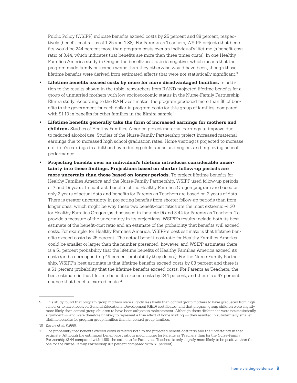Public Policy (WSIPP) indicate benefits exceed costs by 25 percent and 88 percent, respectively (benefit-cost ratios of 1.25 and 1.88). For Parents as Teachers, WSIPP projects that benefits would be 244 percent more than program costs over an individual's lifetime (a benefit-cost ratio of 3.44, which indicates that benefits are more than three times costs). In one Healthy Families America study in Oregon the benefit-cost ratio is negative, which means that the program made family outcomes worse than they otherwise would have been, though those lifetime benefits were derived from estimated effects that were not statistically significant.9

- **• Lifetime benefits exceed costs by more for more disadvantaged families.** In addition to the results shown in the table, researchers from RAND projected lifetime benefits for a group of unmarried mothers with low socioeconomic status in the Nurse-Family Partnership Elmira study. According to the RAND estimates, the program produced more than \$5 of benefits to the government for each dollar in program costs for this group of families, compared with \$1.10 in benefits for other families in the Elmira sample.<sup>10</sup>
- **• Lifetime benefits generally take the form of increased earnings for mothers and children.** Studies of Healthy Families America project maternal earnings to improve due to reduced alcohol use. Studies of the Nurse-Family Partnership project increased maternal earnings due to increased high school graduation rates. Home visiting is projected to increase children's earnings in adulthood by reducing child abuse and neglect and improving school performance.
- **• Projecting benefits over an individual's lifetime introduces considerable uncertainty into these findings. Projections based on shorter follow-up periods are more uncertain than those based on longer periods.** To project lifetime benefits for Healthy Families America and the Nurse-Family Partnership, WSIPP used follow-up periods of 7 and 19 years. In contrast, benefits of the Healthy Families Oregon program are based on only 2 years of actual data and benefits for Parents as Teachers are based on 3 years of data. There is greater uncertainty in projecting benefits from shorter follow-up periods than from longer ones, which might be why these two benefit-cost ratios are the most extreme: -4.20 for Healthy Families Oregon (as discussed in footnote 9) and 3.44 for Parents as Teachers. To provide a measure of the uncertainty in its projections, WSIPP's results include both its best estimate of the benefit-cost ratio and an estimate of the probability that benefits will exceed costs. For example, for Healthy Families America, WSIPP's best estimate is that lifetime benefits exceed costs by 25 percent. The actual benefit-cost ratio for Healthy Families America could be smaller or larger than the number presented, however, and WSIPP estimates there is a 51 percent probability that the lifetime benefits of Healthy Families America exceed its costs (and a corresponding 49 percent probability they do not). For the Nurse-Family Partnership, WSIPP's best estimate is that lifetime benefits exceed costs by 88 percent and there is a 61 percent probability that the lifetime benefits exceed costs. For Parents as Teachers, the best estimate is that lifetime benefits exceed costs by 244 percent, and there is a 67 percent chance that benefits exceed costs.11

<sup>9</sup> This study found that program group mothers were slightly less likely than control group mothers to have graduated from high school or to have received General Educational Development (GED) certificates, and that program group children were slightly more likely than control group children to have been subject to maltreatment. Although these differences were not statistically significant — and were therefore unlikely to represent a true effect of home visiting — they resulted in substantially smaller lifetime benefits for program group families than for control group families.

<sup>10</sup> Karoly et al. (1998).

<sup>11</sup> The probability that benefits exceed costs is related both to the projected benefit-cost ratio and the uncertainty in that estimate. Although the estimated benefit-cost ratio is much higher for Parents as Teachers than for the Nurse-Family Partnership (3.44 compared with 1.88), the estimate for Parents as Teachers is only slightly more likely to be positive than the one for the Nurse-Family Partnership (67 percent compared with 61 percent).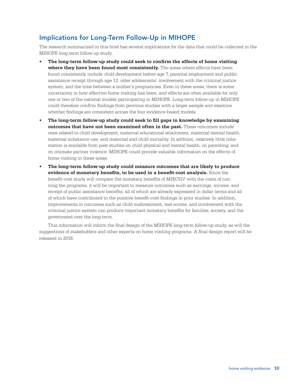## Implications for Long-Term Follow-Up in MIHOPE

The research summarized in this brief has several implications for the data that could be collected in the MIHOPE long-term follow-up study.

- **• The long-term follow-up study could seek to confirm the effects of home visiting** where they have been found most consistently. The areas where effects have been found consistently include child development before age 7, parental employment and public assistance receipt through age 12, older adolescents' involvement with the criminal justice system, and the time between a mother's pregnancies. Even in these areas, there is some uncertainty in how effective home visiting has been, and effects are often available for only one or two of the national models participating in MIHOPE. Long-term follow-up in MIHOPE could therefore confirm findings from previous studies with a larger sample and examine whether findings are consistent across the four evidence-based models.
- **• The long-term follow-up study could seek to fill gaps in knowledge by examining outcomes that have not been examined often in the past.** These outcomes include ones related to child development, maternal educational attainment, maternal mental health, maternal substance use, and maternal and child mortality. In addition, relatively little information is available from past studies on child physical and mental health, on parenting, and on intimate partner violence. MIHOPE could provide valuable information on the effects of home visiting in these areas.
- **• The long-term follow-up study could measure outcomes that are likely to produce evidence of monetary benefits, to be used in a benefit-cost analysis.** Since the benefit-cost study will compare the monetary benefits of MIECHV with the costs of running the programs, it will be important to measure outcomes such as earnings, income, and receipt of public assistance benefits, all of which are already expressed in dollar terms and all of which have contributed to the positive benefit-cost findings in prior studies. In addition, improvements in outcomes such as child maltreatment, test scores, and involvement with the criminal justice system can produce important monetary benefits for families, society, and the government over the long term.

This information will inform the final design of the MIHOPE long-term follow-up study, as will the suggestions of stakeholders and other experts on home visiting programs. A final design report will be released in 2018.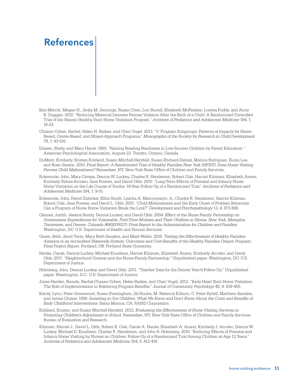## References

- Bair-Merritt, Megan H., Jacky M. Jennings, Rusan Chen, Lori Burrell, Elizabeth McFarlane, Loretta Fuddy, and Anne K. Duggan. 2010. "Reducing Maternal Intimate Partner Violence After the Birth of a Child: A Randomized Controlled Trial of the Hawaii Healthy Start Home Visitation Program." *Archives of Pediatrics and Adolescent Medicine* 164, 1: 16-23.
- Chazan‐Cohen, Rachel, Helen H. Raikes, and Cheri Vogel. 2013. "V. Program Subgroups: Patterns of Impacts for Home-Based, Center-Based, and Mixed-Approach Programs." *Monographs of the Society for Research in Child Development* 78, 1: 93-109.
- Drazen, Shelly, and Mary Haust. 1993. "Raising Reading Readiness in Low-Income Children by Parent Education." American Psychological Association, August 23. Toronto, Ontario, Canada.
- DuMont, Kimberly, Kristen Kirkland, Susan Mitchell-Herzfeld, Susan Ehrhard-Dietzel, Monica Rodriguez, Eunju Lee, and Rose Greene. 2010. *Final Report: A Randomized Trial of Healthy Families New York (HFNY): Does Home Visiting Prevent Child Maltreatment?* Rensselaer, NY: New York State Office of Children and Family Services.
- Eckenrode, John, Mary Campa, Dennis W. Luckey, Charles R. Henderson, Robert Cole, Harriet Kitzman, Elizabeth Anson, Kimberly Sidora-Arcoleo, Jane Powers, and David Olds. 2010. "Long-Term Effects of Prenatal and Infancy Nurse Home Visitation on the Life Course of Youths: 19-Year Follow-Up of a Randomized Trial." *Archives of Pediatrics and Adolescent Medicine* 164, 1: 9-15.
- Eckenrode, John, David Zielinksi, Elliot Smith, Lyscha A. Marcynyszyn, Jr., Charles R. Henderson, Harriet Kitzman, Robert Cole, Jane Powers, and David L. Olds. 2001. "Child Maltreatment and the Early Onset of Problem Behaviors: Can a Program of Nurse Home Visitation Break the Link?" *Development and Psychopathology* 13, 4: 873-890.
- Glazner, Judith, Jessica Bondy, Dennis Luckey, and David Olds. 2004. *Effect of the Nurse Family Partnership on Government Expenditures for Vulnerable, First-Time Mothers and Their Children in Elmira, New York, Memphis, Tennessee, and Denver, Colorado (#90XP0017): Final Report to the Administration for Children and Families.* Washington, DC: U.S. Department of Health and Human Services.
- Green, Beth, Jerod Tarte, Mary Beth Sanders, and Mark Waller. 2016. *Testing the Effectiveness of Healthy Families America in an Accredited Statewide System: Outcomes and Cost-Benefits of the Healthy Families Oregon Program: Final Project Report.* Portland, OR: Portland State University.
- Hanks, Carole, Dennis Luckey, Michael Knudtson, Harriet Kitzman, Elizabeth Anson, Kimberly Arcoleo, and David Olds. 2011. "Neighborhood Context and the Nurse-Family Partnership." Unpublished paper. Washington, DC: U.S. Department of Justice.
- Holmberg, John, Dennis Luckey, and David Olds. 2011. "Teacher Data for the Denver Year-9 Follow-Up." Unpublished paper. Washington, D.C.: U.S. Department of Justice.
- Jones-Harden, Brenda, Rachel Chazan-Cohen, Helen Raikes, and Cheri Vogel. 2012. "Early Head Start Home Visitation: The Role of Implementation in Bolstering Program Benefits." *Journal of Community Psychology* 40, 4: 438-455.
- Karoly, Lynn, Peter Greenwood, Susan Everingham, Jill Hoube, M. Rebecca Kilburn, C. Peter Rydell, Matthew Sanders, and James Chiesa. 1998. *Investing in Our Children: What We Know and Don't Know About the Costs and Benefits of Early Childhood Interventions.* Santa Monica, CA: RAND Corporation.
- Kirkland, Kristen, and Susan Mitchell-Herzfeld. 2012. *Evaluating the Effectiveness of Home Visiting Services in Promoting Children's Adjustment to School.* Rensselaer, NY: New York State Office of Children and Family Services, Bureau of Evaluation and Research.
- Kitzman, Harriet J., David L. Olds, Robert E. Cole, Carole A. Hanks, Elizabeth A. Anson, Kimberly J. Arcoleo, Dennis W. Luckey, Michael D. Knudtson, Charles R. Henderson, and John R. Holmberg. 2010. "Enduring Effects of Prenatal and Infancy Home Visiting by Nurses on Children: Follow-Up of a Randomized Trial Among Children at Age 12 Years." *Archives of Pediatrics and Adolescent Medicine* 164, 5: 412-418.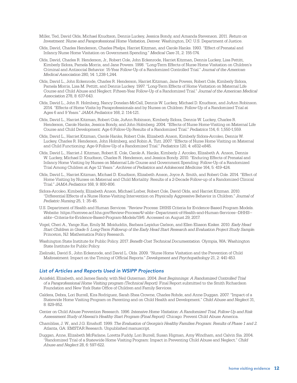- Miller, Ted, David Olds, Michael Knudtson, Dennis Luckey, Jessica Bondy, and Amanda Stevenson. 2011. *Return on Investment: Nurse and Paraprofessional Home Visitation, Denver.* Washington, DC: U.S. Department of Justice.
- Olds, David, Charles Henderson, Charles Phelps, Harriet Kitzman, and Carole Hanks. 1993. "Effect of Prenatal and Infancy Nurse Home Visitation on Government Spending." *Medical Care* 31, 2: 155-174.
- Olds, David, Charles R. Henderson, Jr., Robert Cole, John Eckenrode, Harriet Kitzman, Dennis Luckey, Lisa Pettitt, Kimberly Sidora, Pamela Morris, and Jane Powers. 1998. "Long-Term Effects of Nurse Home Visitation on Children's Criminal and Antisocial Behavior: 15-Year Follow-Up of a Randomized Controlled Trial." *Journal of the American Medical Association* 280, 14: 1,238-1,244.
- Olds, David L., John Eckenrode, Charles R. Henderson, Harriet Kitzman, Jane Powers, Robert Cole, Kimberly Sidora, Pamela Morris, Lisa M. Pettitt, and Dennis Luckey. 1997. "Long-Term Effects of Home Visitation on Maternal Life Course and Child Abuse and Neglect: Fifteen-Year Follow-Up of a Randomized Trial." *Journal of the American Medical Association* 278, 8: 637-643.
- Olds, David L., John R. Holmberg, Nancy Donelan-McCall, Dennis W. Luckey, Michael D. Knudtson, and JoAnn Robinson. 2014. "Effects of Home Visits by Paraprofessionals and by Nurses on Children: Follow-Up of a Randomized Trial at Ages 6 and 9 Years." *JAMA Pediatrics* 168, 2: 114-121.
- Olds, David L., Harriet Kitzman, Robert Cole, JoAnn Robinson, Kimberly Sidora, Dennis W. Luckey, Charles R. Henderson, Carole Hanks, Jessica Bondy, and John Holmberg. 2004. "Effects of Nurse Home-Visiting on Maternal Life Course and Child Development: Age 6 Follow-Up Results of a Randomized Trial." *Pediatrics* 114, 6: 1,550-1,559.
- Olds, David L., Harriet Kitzman, Carole Hanks, Robert Cole, Elizabeth Anson, Kimberly Sidora-Arcoleo, Dennis W. Luckey, Charles R. Henderson, John Holmberg, and Robin A. Tutt. 2007. "Effects of Nurse Home Visiting on Maternal and Child Functioning: Age-9 Follow-Up of a Randomized Trial." *Pediatrics* 120, 4: e832-e845.
- Olds, David L., Harriet J. Kitzman, Robert E. Cole, Carole A. Hanks, Kimberly J. Arcoleo, Elizabeth A. Anson, Dennis W. Luckey, Michael D. Knudtson, Charles R. Henderson, and Jessica Bondy. 2010. "Enduring Effects of Prenatal and Infancy Home Visiting by Nurses on Maternal Life Course and Government Spending: Follow-Up of a Randomized Trial Among Children at Age 12 Years." *Archives of Pediatrics and Adolescent Medicine* 164, 5: 419-424.
- Olds, David L., Harriet Kitzman, Michael D. Knudtson, Elizabeth Anson, Joyce A. Smith, and Robert Cole. 2014. "Effect of Home Visiting by Nurses on Maternal and Child Mortality: Results of a 2-Decade Follow-up of a Randomized Clinical Trial." *JAMA Pediatrics* 168, 9: 800-806.
- Sidora-Arcoleo, Kimberly, Elizabeth Anson, Michael Lorber, Robert Cole, David Olds, and Harriet Kitzman. 2010. "Differential Effects of a Nurse Home-Visiting Intervention on Physically Aggressive Behavior in Children." *Journal of Pediatric Nursing* 25, 1: 35-45.
- U.S. Department of Health and Human Services. "Review Process: DHHS Criteria for Evidence-Based Program Models. Website: https://homvee.acf.hhs.gov/Review-Process/4/-abbr--Department-of-Health-and-Human-Services--DHHS- abbr--Criteria-for-Evidence-Based-Program-Models/19/6. Accessed on August 29, 2017.
- Vogel, Cheri A., Yange Xue, Emily M. Moiduddin, Barbara Lepidus Carlson, and Ellen Eliason Kisker. 2010. *Early Head Start Children in Grade 5: Long-Term Followup of the Early Head Start Research and Evaluation Project Study Sample.* Princeton, NJ: Mathematica Policy Research.
- Washington State Institute for Public Policy. 2017. *Benefit-Cost Technical Documentation.* Olympia, WA: Washington State Institute for Public Policy.
- Zielinski, David S., John Eckenrode, and David L. Olds. 2009. "Nurse Home Visitation and the Prevention of Child Maltreatment: Impact on the Timing of Official Reports." *Development and Psychopathology* 21, 2: 441-453.

#### *List of Articles and Reports Used in WSIPP Projections*

- Anisfeld, Elizabeth, and James Sandy, with Neil Guterman. 2004. *Best Beginnings: A Randomized Controlled Trial of a Paraprofessional Home Visiting program (Technical Report).* Final Report submitted to the Smith Richardson Foundation and New York State Office of Children and Family Services.
- Caldera, Debra, Lori Burrell, Kira Rodriguez, Sarah Shea Crowne, Charles Rohde, and Anne Duggan. 2007. "Impact of a Statewide Home Visiting Program on Parenting and on Child Health and Development." *Child Abuse and Neglect* 31, 8: 829-852.
- Center on Child Abuse Prevention Research. 1996. *Intensive Home Visitation: A Randomized Trial, Follow-Up and Risk Assessment Study of Hawaii's Healthy Start Program (Final Report).* Chicago: Prevent Child Abuse America.
- Chambliss, J. W., and J.G. Emshoff. 1999. *The Evaluation of Georgia's Healthy Families Program: Results of Phase 1 and 2*. Atlanta, GA: EMSTAR Research. Unpublished manuscript.
- Duggan, Anne, Elizabeth McFarlane, Loretta Fuddy, Lori Burrell, Susan Higman, Amy Windham, and Calvin Sia. 2004. "Randomized Trial of a Statewide Home Visiting Program: Impact in Preventing Child Abuse and Neglect." *Child Abuse and Neglect* 28, 6: 597-622.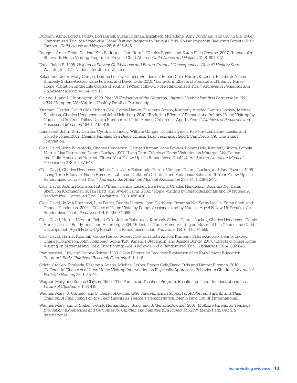- Duggan, Anne, Loretta Fuddy, Lori Burrell, Susan Higman, Elizabeth McFarlane, Amy Windham, and Calvin Sia. 2004. "Randomized Trial of a Statewide Home Visiting Program to Prevent Child Abuse: Impact in Reducing Parental Risk Factors." *Child Abuse and Neglect* 28, 6: 625-645.
- Duggan, Anne, Debra Caldera, Kira Rodriguez, Lori Burrell, Charles Rohde, and Sarah Shea Crowne. 2007. "Impact of a Statewide Home Visiting Program to Prevent Child Abuse." *Child Abuse and Neglect* 31, 8: 801-827.
- Earle, Ralph B. 1995. *Helping to Prevent Child Abuse and Future Criminal Consequences: Hawai'i Healthy Start.* Washington, DC: National Institute of Justice.
- Eckenrode, John, Mary Campa, Dennis Luckey, Charles Henderson, Robert Cole, Harriet Kitzman, Elizabeth Anson, Kimberly Sidora-Arcoleo, Jane Powers, and David Olds. 2010. "Long-Term Effects of Prenatal and Infancy Nurse Home Visitation on the Life Course of Youths: 19-Year Follow-Up of a Randomized Trial." *Archives of Pediatrics and Adolescent Medicine* 164, 1: 9-15.
- Galano, J., and L. Huntington. 1999. *Year VI Evaluation of the Hampton, Virginia Healthy Families Partnership: 1992- 1998.* Hampton, VA: Virginia Healthy Families Partnership.
- Kitzman, Harriet, David Olds, Robert Cole, Carole Hanks, Elizabeth Anson, Kimberly Arcoleo, Dennis Luckey, Michael Knudtson, Charles Henderson, and John Holmberg. 2010. "Enduring Effects of Prenatal and Infancy Home Visiting by Nurses on Children: Follow-Up of a Randomized Trial Among Children at Age 12 Years." *Archives of Pediatrics and Adolescent Medicine* 164, 5: 412-418.
- Landsverk, John, Terry Carrilio, Cynthia Connelly, William Ganger, Donald Slymen, Rae Newton, Laurel Leslie, and Collette Jones. 2002. *Healthy Families San Diego Clinical Trial: Technical Report.* San Diego, CA: The Stuart Foundation.
- Olds, David, John Eckenrode, Charles Henderson, Harriet Kitzman, Jane Powers, Robert Cole, Kimberly Sidora, Pamela Morris, Lisa Pettitt, and Dennis Luckey. 1997. "Long-Term Effects of Home Visitation on Maternal Life Course and Child Abuse and Neglect: Fifteen-Year Follow-Up of a Randomized Trial." *Journal of the American Medical Association* 278, 8: 637-643.
- Olds, David, Charles Henderson, Robert Cole, John Eckenrode, Harriet Kitzman, Dennis Luckey, and Jane Powers. 1998. "Long-Term Effects of Nurse Home Visitation on Children's Criminal and Antisocial Behavior: 15-Year Follow-Up of a Randomized Controlled Trial." *Journal of the American Medical Association* 280, 14: 1,238-1,244.
- Olds, David, JoAnn Robinson, Ruth O'Brien, Dennis Luckey, Lisa Pettitt, Charles Henderson, Rosanna Ng, Karen Sheff, Jon Korfmacher, Susan Hiatt, and Ayelet Talmi. 2002. "Home Visiting by Paraprofessionals and by Nurses: A Randomized, Controlled Trial." *Pediatrics* 110, 3: 486-496.
- Olds, David, JoAnn Robinson, Lisa Pettitt, Dennis Luckey, John Holmberg, Rosanna Ng, Kathy Isacks, Karen Sheff, and Charles Henderson. 2004. "Effects of Home Visits by Paraprofessionals and by Nurses: Age 4 Follow-Up Results of a Randomized Trial." *Pediatrics* 114, 6: 1,560-1,568.
- Olds, David, Harriet Kitzman, Robert Cole, JoAnn Robertson, Kimberly Sidora, Dennis Luckey, Charles Henderson, Carole Hanks, Jessica Bondy, and John Holmberg. 2004. "Effects of Nurse Home-Visiting on Maternal Life Course and Child Development: Age 6 Follow-Up Results of a Randomized Trial." *Pediatrics* 114, 6: 1,550-1,559.
- Olds, David, Harriet Kitzman, Carole Hanks, Robert Cole, Elizabeth Anson, Kimberly Sidora-Arcoleo, Dennis Luckey, Charles Henderson, John Holmberg, Robin Tutt, Amanda Stevenson, and Jessica Bondy. 2007. "Effects of Nurse Home Visiting on Maternal and Child Functioning: Age-9 Follow-Up of a Randomized Trial." *Pediatrics* 120, 4: 832-845.
- Pfannenstiel, Judy and Dianne Seltzer. 1989. "New Parents as Teachers: Evaluation of an Early Parent Education Program." *Early Childhood Research Quarterly* 4, 1: 1-18.
- Sidora-Arcoleo, Kimberly, Elizabeth Anson, Michael Lorber, Robert Cole, David Olds and Harriet Kitzman. 2010. "Differential Effects of a Nurse Home-Visiting Intervention on Physically Aggressive Behavior in Children." *Journal of Pediatric Nursing* 25, 1: 35-45.
- Wagner, Mary and Serena Clayton. 1999. "The Parents as Teachers Program: Results from Two Demonstrations." *The Future of Children* 9, 1: 91-115.
- Wagner, Mary, R. Cameto, and S. Gerlach-Downie. 1996. *Intervention in Support of Adolescent Parents and Their Children: A Final Report on the Teen Parents as Teachers Demonstration.* Menlo Park, CA: SRI International.
- Wagner, Mary, and D. Spiker (with F. Hernandez, J. Song, and S. Gerlach-Downie). 2001. *Multisite Parents as Teachers Evaluation: Experiences and Outcomes for Children and Families (SRI Project P07283).* Menlo Park, CA: SRI International.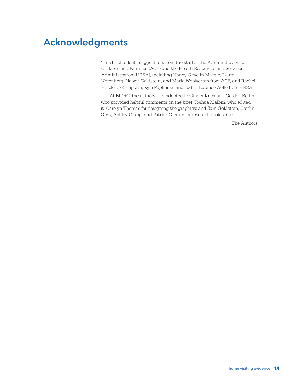## Acknowledgments

This brief reflects suggestions from the staff at the Administration for Children and Families (ACF) and the Health Resources and Services Administration (HRSA), including Nancy Geyelin Margie, Laura Nerenberg, Naomi Goldstein, and Maria Woolverton from ACF, and Rachel Herzfeldt-Kamprath, Kyle Peplinski, and Judith Labiner-Wolfe from HRSA.

At MDRC, the authors are indebted to Ginger Knox and Gordon Berlin, who provided helpful comments on the brief; Joshua Malbin, who edited it; Carolyn Thomas for designing the graphics; and Sam Goldstein, Caitlin Gest, Ashley Qiang, and Patrick Cremin for research assistance.

The Authors